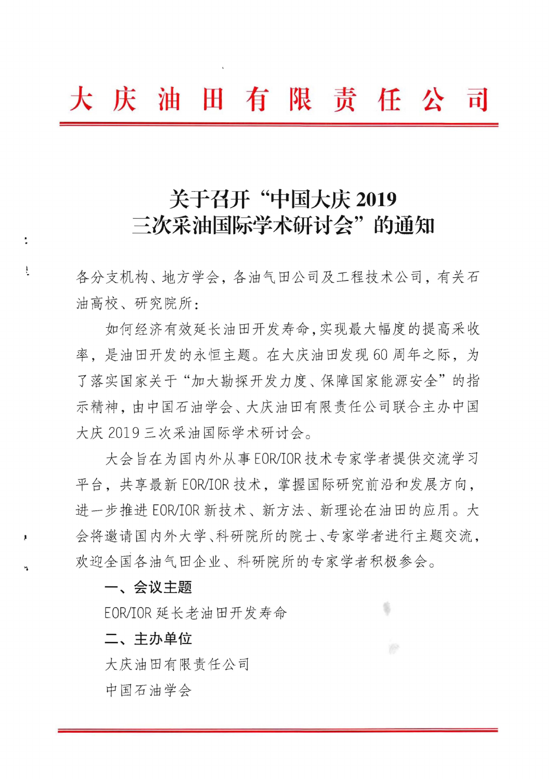# 大庆油田有限责任公司

# 关于召开"中国大庆 2019 三次采油国际学术研讨会" 的通知

各分支机构、地方学会,各油气田公司及工程技术公司,有关石 油高校、研究院所:

如何经济有效延长油田开发寿命,实现最大幅度的提高采收 如何经所有效姓下油田开及对型, 天枕取八幅反的捉同不快<br>率, 是油田开发的永恒主题。在大庆油田发现60 周年之际, 为 +, 足面田丌及的水世土感。任八次油田及死00 周干之际, 为<br>了落实国家关于"加大勘探开发力度、保障国家能源安全"的指 示精神, 由中国石油学会、大庆油田有限责任公司联合主办中国 大庆 2019 三次采油国际学术研讨会。

= 次木油国际子不切切会。<br>在为国内外从事 EOR/IOR 技术专家学者提供交流学习 平台, 共享最新 EOR/IOR 技术, 掌握国际研究前沿和发展方向, 十日, 六子取机 LUNIUR 汉八, 手挺国阶列九即石作及庞力的,<br>进一步推进 EOR/IOR 新技术、新方法、新理论在油田的应用。大 近一少推近 LUNIUR 机仅不、机力広、机生比任佃田的应用。入<br>会将邀请国内外大学、科研院所的院士、专家学者进行主题交流, 欢迎全国各油气田企业、科研院所的专家学者积极参会。

s

### 一、会议主题

÷

 $\ddot{\dot{r}}$ 

、云以上感<br>EOR/IOR 延长老油田开发寿命

二、 **主办单位** 

大庆油田有限责任公司

中国石油学会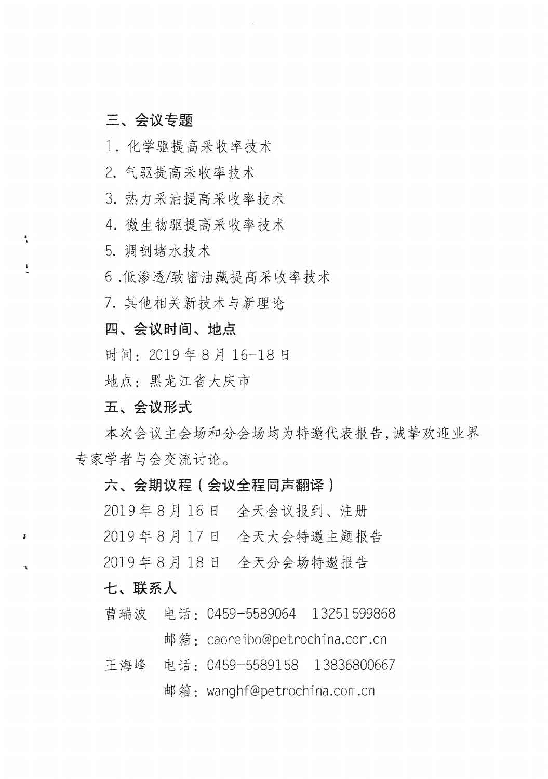## 三、会议专题

1. 化学驱提高采收率技术

2. 气驱提高采收率技术

3. 热力采油提高采收率技术

. 4. 微生物驱提高采收率技术

5. 调剖堵水技术

 $\sum_{i=1}^{n}$ 

 $\pmb{\ddot{y}}$ 

 $\mathbf{r}$ 

6. 低渗透/致密油藏提高采收率技术

7. 其他相关新技术与新理论

四、会议时间、地点

时间: 2019年8月16-18日

地点: 黑龙江省大庆市

五、会议形式

本次会议主会场和分会场均为特邀代表报告,诚挚欢迎业界 专家学者与会交流讨论。

#### 六、会期议程(会议全程同声翻译)

2019 8 JJ 16 EJ ~ '\ 2019年8月17日 全天大会特邀主题报告

2019年8月18日 全天分会场特邀报告

### 七、联系人

曹瑞波 电话: 0459-5589064 13251599868

邮箱: caoreibo@petrochina.com.cn

电话: 0459-5589158 13836800667 王海峰

邮箱: wanghf@petrochina.com.cn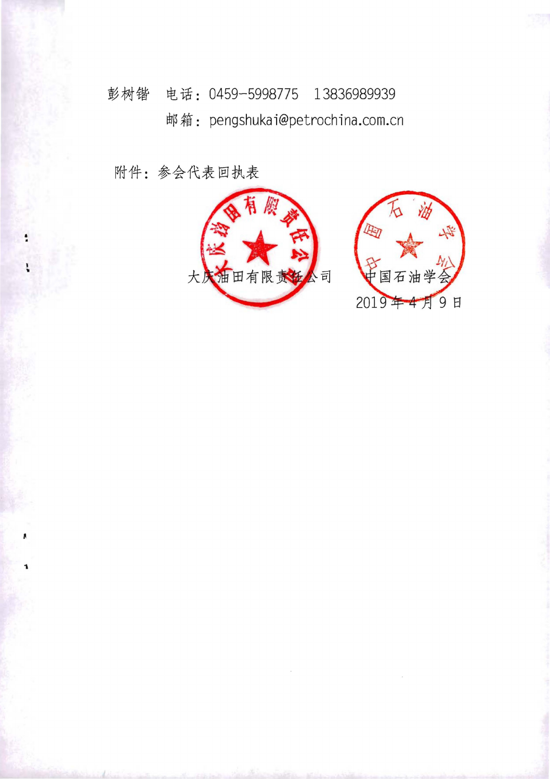彭树锴 电话: 0459-5998775 13836989939 邮箱: pengshukai@petrochina.com.cn

附件: 参会代表回执表